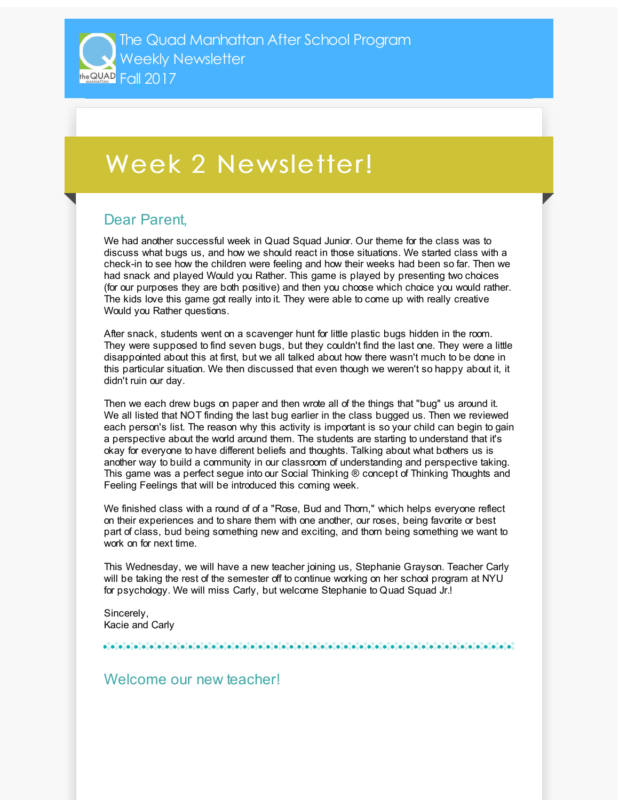## Week 2 Newsletter!

## Dear Parent,

We had another successful week in Quad Squad Junior. Our theme for the class was to discuss what bugs us, and how we should react in those situations. We started class with a check-in to see how the children were feeling and how their weeks had been so far. Then we had snack and played Would you Rather. This game is played by presenting two choices (for our purposes they are both positive) and then you choose which choice you would rather. The kids love this game got really into it. They were able to come up with really creative Would you Rather questions.

After snack, students went on a scavenger hunt for little plastic bugs hidden in the room. They were supposed to find seven bugs, but they couldn't find the last one. They were a little disappointed about this at first, but we all talked about how there wasn't much to be done in this particular situation. We then discussed that even though we weren't so happy about it, it didn't ruin our day.

Then we each drew bugs on paper and then wrote all of the things that "bug" us around it. We all listed that NOT finding the last bug earlier in the class bugged us. Then we reviewed each person's list. The reason why this activity is important is so your child can begin to gain a perspective about the world around them. The students are starting to understand that it's okay for everyone to have different beliefs and thoughts. Talking about what bothers us is another way to build a community in our classroom of understanding and perspective taking. This game was a perfect segue into our Social Thinking ® concept of Thinking Thoughts and Feeling Feelings that will be introduced this coming week.

We finished class with a round of of a "Rose, Bud and Thorn," which helps everyone reflect on their experiences and to share them with one another, our roses, being favorite or best part of class, bud being something new and exciting, and thorn being something we want to work on for next time.

This Wednesday, we will have a new teacher joining us, Stephanie Grayson. Teacher Carly will be taking the rest of the semester off to continue working on her school program at NYU for psychology. We will miss Carly, but welcome Stephanie to Quad Squad Jr.!

Sincerely, Kacie and Carly

## Welcome our new teacher!